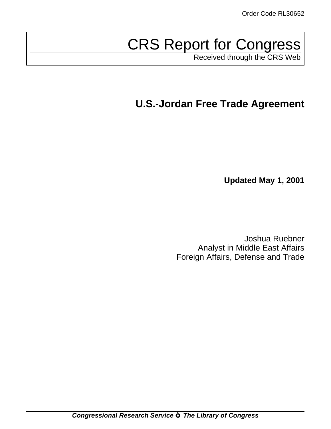# CRS Report for Congress

Received through the CRS Web

## **U.S.-Jordan Free Trade Agreement**

**Updated May 1, 2001**

Joshua Ruebner Analyst in Middle East Affairs Foreign Affairs, Defense and Trade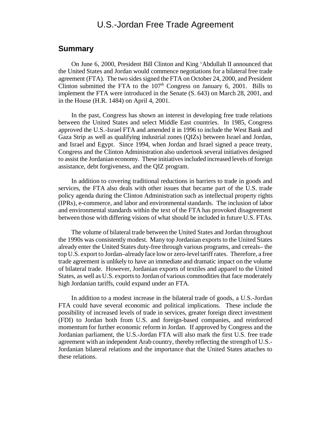## U.S.-Jordan Free Trade Agreement

#### **Summary**

On June 6, 2000, President Bill Clinton and King 'Abdullah II announced that the United States and Jordan would commence negotiations for a bilateral free trade agreement (FTA). The two sides signed the FTA on October 24, 2000, and President Clinton submitted the FTA to the  $107<sup>th</sup>$  Congress on January 6, 2001. Bills to implement the FTA were introduced in the Senate (S. 643) on March 28, 2001, and in the House (H.R. 1484) on April 4, 2001.

In the past, Congress has shown an interest in developing free trade relations between the United States and select Middle East countries. In 1985, Congress approved the U.S.-Israel FTA and amended it in 1996 to include the West Bank and Gaza Strip as well as qualifying industrial zones (QIZs) between Israel and Jordan, and Israel and Egypt. Since 1994, when Jordan and Israel signed a peace treaty, Congress and the Clinton Administration also undertook several initiatives designed to assist the Jordanian economy. These initiatives included increased levels of foreign assistance, debt forgiveness, and the QIZ program.

In addition to covering traditional reductions in barriers to trade in goods and services, the FTA also deals with other issues that became part of the U.S. trade policy agenda during the Clinton Administration such as intellectual property rights (IPRs), e-commerce, and labor and environmentalstandards. The inclusion of labor and environmental standards within the text of the FTA has provoked disagreement between those with differing visions of what should be included in future U.S. FTAs.

The volume of bilateral trade between the United States and Jordan throughout the 1990s was consistently modest. Many top Jordanian exports to the United States already enter the United States duty-free through various programs, and cereals– the top U.S. export to Jordan–already face low or zero-level tariff rates. Therefore, a free trade agreement is unlikely to have an immediate and dramatic impact on the volume of bilateral trade. However, Jordanian exports of textiles and apparel to the United States, as well as U.S. exportsto Jordan of various commoditiesthat face moderately high Jordanian tariffs, could expand under an FTA.

In addition to a modest increase in the bilateral trade of goods, a U.S.-Jordan FTA could have several economic and political implications. These include the possibility of increased levels of trade in services, greater foreign direct investment (FDI) to Jordan both from U.S. and foreign-based companies, and reinforced momentum for further economic reform in Jordan. If approved by Congress and the Jordanian parliament, the U.S.-Jordan FTA will also mark the first U.S. free trade agreement with an independent Arab country, thereby reflecting the strength of U.S.- Jordanian bilateral relations and the importance that the United States attaches to these relations.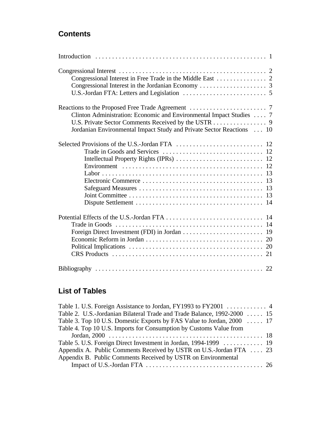## **Contents**

| Congressional Interest in Free Trade in the Middle East 2                                                                                                                                            |
|------------------------------------------------------------------------------------------------------------------------------------------------------------------------------------------------------|
| Clinton Administration: Economic and Environmental Impact Studies  7<br>U.S. Private Sector Comments Received by the USTR 9<br>Jordanian Environmental Impact Study and Private Sector Reactions  10 |
|                                                                                                                                                                                                      |
|                                                                                                                                                                                                      |
|                                                                                                                                                                                                      |

## **List of Tables**

| Table 1. U.S. Foreign Assistance to Jordan, FY1993 to FY2001 4           |  |
|--------------------------------------------------------------------------|--|
| Table 2. U.S.-Jordanian Bilateral Trade and Trade Balance, 1992-2000  15 |  |
| Table 3. Top 10 U.S. Domestic Exports by FAS Value to Jordan, 2000  17   |  |
| Table 4. Top 10 U.S. Imports for Consumption by Customs Value from       |  |
|                                                                          |  |
|                                                                          |  |
| Appendix A. Public Comments Received by USTR on U.S.-Jordan FTA  23      |  |
| Appendix B. Public Comments Received by USTR on Environmental            |  |
|                                                                          |  |
|                                                                          |  |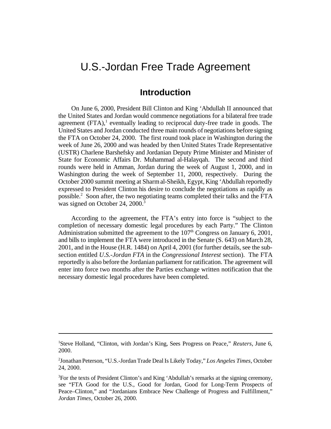## U.S.-Jordan Free Trade Agreement

## **Introduction**

On June 6, 2000, President Bill Clinton and King 'Abdullah II announced that the United States and Jordan would commence negotiations for a bilateral free trade agreement (FTA),<sup>1</sup> eventually leading to reciprocal duty-free trade in goods. The United States and Jordan conducted three main rounds of negotiations before signing the FTA on October 24, 2000. The first round took place in Washington during the week of June 26, 2000 and was headed by then United States Trade Representative (USTR) Charlene Barshefsky and Jordanian Deputy Prime Minister and Minister of State for Economic Affairs Dr. Muhammad al-Halayqah. The second and third rounds were held in Amman, Jordan during the week of August 1, 2000, and in Washington during the week of September 11, 2000, respectively. During the October 2000 summit meeting at Sharmal-Sheikh, Egypt, King 'Abdullah reportedly expressed to President Clinton his desire to conclude the negotiations as rapidly as possible.<sup>2</sup> Soon after, the two negotiating teams completed their talks and the FTA was signed on October 24, 2000.<sup>3</sup>

According to the agreement, the FTA's entry into force is "subject to the completion of necessary domestic legal procedures by each Party." The Clinton Administration submitted the agreement to the  $107<sup>th</sup>$  Congress on January 6, 2001, and bills to implement the FTA were introduced in the Senate (S. 643) on March 28, 2001, and in the House (H.R. 1484) on April 4, 2001 (for further details, see the subsection entitled *U.S.-Jordan FTA* in the *Congressional Interest* section). The FTA reportedly is also before the Jordanian parliament for ratification. The agreement will enter into force two months after the Parties exchange written notification that the necessary domestic legal procedures have been completed.

<sup>1</sup>Steve Holland, "Clinton, with Jordan's King, Sees Progress on Peace," *Reuters*, June 6, 2000.

<sup>2</sup> Jonathan Peterson, "U.S.-Jordan Trade Deal Is Likely Today," *Los Angeles Times*, October 24, 2000.

<sup>3</sup>For the texts of President Clinton's and King 'Abdullah's remarks at the signing ceremony, see "FTA Good for the U.S., Good for Jordan, Good for Long-Term Prospects of Peace–Clinton," and "Jordanians Embrace New Challenge of Progress and Fulfillment," *Jordan Times*, October 26, 2000.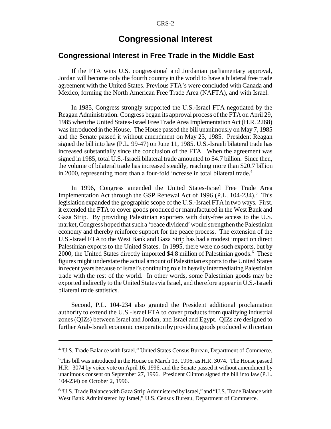## **Congressional Interest**

#### **Congressional Interest in Free Trade in the Middle East**

If the FTA wins U.S. congressional and Jordanian parliamentary approval, Jordan will become only the fourth country in the world to have a bilateral free trade agreement with the United States. Previous FTA's were concluded with Canada and Mexico, forming the North American Free Trade Area (NAFTA), and with Israel.

In 1985, Congress strongly supported the U.S.-Israel FTA negotiated by the Reagan Administration. Congress began its approval process of the FTA on April 29, 1985 when the United States-IsraelFree Trade Area ImplementationAct (H.R. 2268) was introduced in the House. The House passed the bill unanimously on May 7, 1985 and the Senate passed it without amendment on May 23, 1985. President Reagan signed the bill into law (P.L. 99-47) on June 11, 1985. U.S.-Israeli bilateral trade has increased substantially since the conclusion of the FTA. When the agreement was signed in 1985, total U.S.-Israeli bilateral trade amounted to \$4.7 billion. Since then, the volume of bilateral trade has increased steadily, reaching more than \$20.7 billion in 2000, representing more than a four-fold increase in total bilateral trade.<sup>4</sup>

In 1996, Congress amended the United States-Israel Free Trade Area Implementation Act through the GSP Renewal Act of 1996 (P.L. 104-234).<sup>5</sup> This legislation expanded the geographic scope of the U.S.-Israel FTA in two ways. First, it extended the FTA to cover goods produced or manufactured in the West Bank and Gaza Strip. By providing Palestinian exporters with duty-free access to the U.S. market, Congress hoped that such a 'peace dividend' would strengthen the Palestinian economy and thereby reinforce support for the peace process. The extension of the U.S.-Israel FTA to the West Bank and Gaza Strip has had a modest impact on direct Palestinian exports to the United States. In 1995, there were no such exports, but by 2000, the United States directly imported \$4.8 million of Palestinian goods.<sup>6</sup> These figures might understate the actual amount of Palestinian exportsto the United States in recent years because ofIsrael's continuing role in heavily intermediating Palestinian trade with the rest of the world. In other words, some Palestinian goods may be exported indirectly to the United States via Israel, and therefore appear in U.S.-Israeli bilateral trade statistics.

Second, P.L. 104-234 also granted the President additional proclamation authority to extend the U.S.-Israel FTA to cover products from qualifying industrial zones (QIZs) between Israel and Jordan, and Israel and Egypt. QIZs are designed to further Arab-Israeli economic cooperation by providing goods produced with certain

<sup>4</sup> "U.S. Trade Balance with Israel," United States Census Bureau, Department of Commerce.

<sup>5</sup>This bill was introduced in the House on March 13, 1996, as H.R. 3074. The House passed H.R. 3074 by voice vote on April 16, 1996, and the Senate passed it without amendment by unanimous consent on September 27, 1996. President Clinton signed the bill into law (P.L. 104-234) on October 2, 1996.

<sup>6</sup> "U.S. Trade Balance withGaza Strip Administered by Israel," and "U.S. Trade Balance with West Bank Administered by Israel," U.S. Census Bureau, Department of Commerce.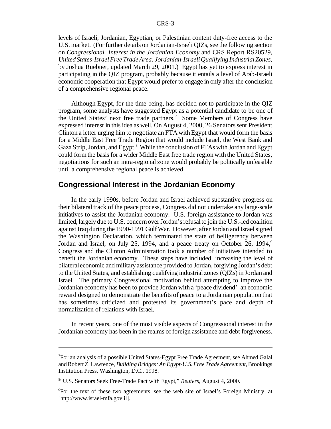levels of Israeli, Jordanian, Egyptian, or Palestinian content duty-free access to the U.S. market. (For further details on Jordanian-Israeli QIZs, see the following section on *Congressional Interest in the Jordanian Economy* and CRS Report RS20529, *United States-Israel Free Trade Area: Jordanian-Israeli Qualifying Industrial Zones*, by Joshua Ruebner, updated March 29, 2001.) Egypt has yet to express interest in participating in the QIZ program, probably because it entails a level of Arab-Israeli economic cooperation that Egypt would prefer to engage in only after the conclusion of a comprehensive regional peace.

Although Egypt, for the time being, has decided not to participate in the QIZ program, some analysts have suggested Egypt as a potential candidate to be one of the United States' next free trade partners.<sup>7</sup> Some Members of Congress have expressed interest in this idea as well. On August 4, 2000, 26 Senators sent President Clinton a letter urging him to negotiate an FTA with Egypt that would form the basis for a Middle East Free Trade Region that would include Israel, the West Bank and Gaza Strip, Jordan, and Egypt.<sup>8</sup> While the conclusion of FTAs with Jordan and Egypt could form the basis for a wider Middle East free trade region with the United States, negotiations for such an intra-regional zone would probably be politically unfeasible until a comprehensive regional peace is achieved.

#### **Congressional Interest in the Jordanian Economy**

In the early 1990s, before Jordan and Israel achieved substantive progress on their bilateral track of the peace process, Congress did not undertake any large-scale initiatives to assist the Jordanian economy. U.S. foreign assistance to Jordan was limited, largely due to U.S. concern overJordan'srefusalto join the U.S.-led coalition against Iraq during the 1990-1991 GulfWar. However, after Jordan and Israel signed the Washington Declaration, which terminated the state of belligerency between Jordan and Israel, on July 25, 1994, and a peace treaty on October 26, 1994,<sup>9</sup> Congress and the Clinton Administration took a number of initiatives intended to benefit the Jordanian economy. These steps have included increasing the level of bilateral economic and militaryassistance provided to Jordan, forgiving Jordan's debt to the United States, and establishing qualifying industrial zones (QIZs) in Jordan and Israel. The primary Congressional motivation behind attempting to improve the Jordanian economy has been to provide Jordan with a 'peace dividend'–an economic reward designed to demonstrate the benefits of peace to a Jordanian population that has sometimes criticized and protested its government's pace and depth of normalization of relations with Israel.

In recent years, one of the most visible aspects of Congressional interest in the Jordanian economy has been in the realms offoreign assistance and debt forgiveness.

 $T$ For an analysis of a possible United States-Egypt Free Trade Agreement, see Ahmed Galal andRobertZ. Lawrence, *Building Bridges:AnEgypt-U.S. Free Trade Agreement*, Brookings Institution Press, Washington, D.C., 1998.

<sup>8</sup> "U.S. Senators Seek Free-Trade Pact with Egypt," *Reuters*, August 4, 2000.

<sup>9</sup>For the text of these two agreements, see the web site of Israel's Foreign Ministry, at [http://www.israel-mfa.gov.il].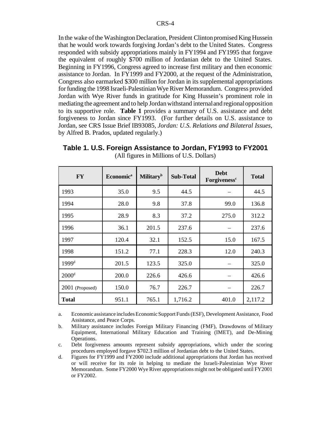In the wake of the Washington Declaration, President Clinton promised King Hussein that he would work towards forgiving Jordan's debt to the United States. Congress responded with subsidy appropriations mainly in FY1994 and FY1995 that forgave the equivalent of roughly \$700 million of Jordanian debt to the United States. Beginning in FY1996, Congress agreed to increase first military and then economic assistance to Jordan. In FY1999 and FY2000, at the request of the Administration, Congress also earmarked \$300 million for Jordan in its supplemental appropriations for funding the 1998 Israeli-Palestinian Wye River Memorandum. Congress provided Jordan with Wye River funds in gratitude for King Hussein's prominent role in mediating the agreement and to help Jordan withstand internal and regional opposition to its supportive role. **Table 1** provides a summary of U.S. assistance and debt forgiveness to Jordan since FY1993. (For further details on U.S. assistance to Jordan, see CRS Issue Brief IB93085, *Jordan: U.S. Relations and Bilateral Issues*, by Alfred B. Prados, updated regularly.)

| $\mathbf{F}\mathbf{Y}$ | <b>Economica</b> | <b>Military</b> <sup>b</sup> | <b>Sub-Total</b> | <b>Debt</b><br>Forgiveness <sup>c</sup> | <b>Total</b> |
|------------------------|------------------|------------------------------|------------------|-----------------------------------------|--------------|
| 1993                   | 35.0             | 9.5                          | 44.5             |                                         | 44.5         |
| 1994                   | 28.0             | 9.8                          | 37.8             | 99.0                                    | 136.8        |
| 1995                   | 28.9             | 8.3                          | 37.2             | 275.0                                   | 312.2        |
| 1996                   | 36.1             | 201.5                        | 237.6            |                                         | 237.6        |
| 1997                   | 120.4            | 32.1                         | 152.5            | 15.0                                    | 167.5        |
| 1998                   | 151.2            | 77.1                         | 228.3            | 12.0                                    | 240.3        |
| 1999 <sup>d</sup>      | 201.5            | 123.5                        | 325.0            |                                         | 325.0        |
| 2000 <sup>d</sup>      | 200.0            | 226.6                        | 426.6            |                                         | 426.6        |
| 2001 (Proposed)        | 150.0            | 76.7                         | 226.7            |                                         | 226.7        |
| <b>Total</b>           | 951.1            | 765.1                        | 1,716.2          | 401.0                                   | 2,117.2      |

**Table 1. U.S. Foreign Assistance to Jordan, FY1993 to FY2001** (All figures in Millions of U.S. Dollars)

a. Economic assistance includes Economic Support Funds (ESF), Development Assistance, Food Assistance, and Peace Corps.

b. Military assistance includes Foreign Military Financing (FMF), Drawdowns of Military Equipment, International Military Education and Training (IMET), and De-Mining Operations.

c. Debt forgiveness amounts represent subsidy appropriations, which under the scoring procedures employed forgave \$702.3 million of Jordanian debt to the United States.

d. Figures for FY1999 and FY2000 include additional appropriations that Jordan has received or will receive for its role in helping to mediate the Israeli-Palestinian Wye River Memorandum. Some FY2000 Wye River appropriations might not be obligated until FY2001 or FY2002.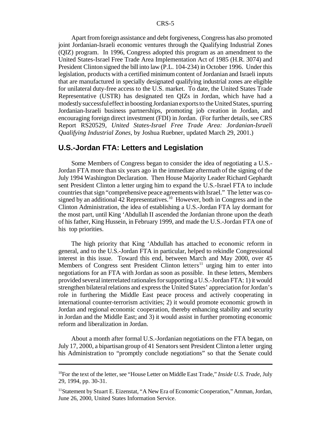Apart fromforeign assistance and debt forgiveness, Congress has also promoted joint Jordanian-Israeli economic ventures through the Qualifying Industrial Zones (QIZ) program. In 1996, Congress adopted this program as an amendment to the United States-Israel Free Trade Area Implementation Act of 1985 (H.R. 3074) and President Clinton signed the bill into law (P.L. 104-234) in October 1996. Under this legislation, products with a certified minimum content of Jordanian and Israeli inputs that are manufactured in specially designated qualifying industrial zones are eligible for unilateral duty-free access to the U.S. market. To date, the United States Trade Representative (USTR) has designated ten QIZs in Jordan, which have had a modestly successful effect in boosting Jordanian exports to the United States, spurring Jordanian-Israeli business partnerships, promoting job creation in Jordan, and encouraging foreign direct investment (FDI) in Jordan. (For further details, see CRS Report RS20529, *United States-Israel Free Trade Area: Jordanian-Israeli Qualifying Industrial Zones*, by Joshua Ruebner, updated March 29, 2001.)

#### **U.S.-Jordan FTA: Letters and Legislation**

Some Members of Congress began to consider the idea of negotiating a U.S.- Jordan FTA more than six years ago in the immediate aftermath of the signing of the July 1994 Washington Declaration. Then House Majority Leader Richard Gephardt sent President Clinton a letter urging him to expand the U.S.-Israel FTA to include countries that sign "comprehensive peace agreements with Israel." The letter was cosigned by an additional  $42$  Representatives.<sup>10</sup> However, both in Congress and in the Clinton Administration, the idea of establishing a U.S.-Jordan FTA lay dormant for the most part, until King 'Abdullah II ascended the Jordanian throne upon the death of his father, King Hussein, in February 1999, and made the U.S.-Jordan FTA one of his top priorities.

The high priority that King 'Abdullah has attached to economic reform in general, and to the U.S.-Jordan FTA in particular, helped to rekindle Congressional interest in this issue. Toward this end, between March and May 2000, over 45 Members of Congress sent President Clinton letters<sup>11</sup> urging him to enter into negotiations for an FTA with Jordan as soon as possible. In these letters, Members provided severalinterrelated rationalesforsupporting a U.S.-Jordan FTA: 1)it would strengthen bilateral relations and express the United States' appreciation for Jordan's role in furthering the Middle East peace process and actively cooperating in international counter-terrorism activities; 2) it would promote economic growth in Jordan and regional economic cooperation, thereby enhancing stability and security in Jordan and the Middle East; and 3) it would assist in further promoting economic reform and liberalization in Jordan.

About a month after formal U.S.-Jordanian negotiations on the FTA began, on July 17, 2000, a bipartisan group of 41 Senatorssent President Clinton a letter urging his Administration to "promptly conclude negotiations" so that the Senate could

<sup>10</sup>For the text of the letter, see "House Letter on Middle East Trade," *Inside U.S. Trade*, July 29, 1994, pp. 30-31.

<sup>&</sup>lt;sup>11</sup>Statement by Stuart E. Eizenstat, "A New Era of Economic Cooperation," Amman, Jordan, June 26, 2000, United States Information Service.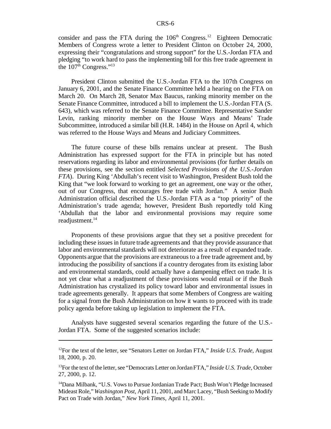consider and pass the FTA during the  $106<sup>th</sup>$  Congress.<sup>12</sup> Eighteen Democratic Members of Congress wrote a letter to President Clinton on October 24, 2000, expressing their "congratulations and strong support" for the U.S.-Jordan FTA and pledging "to work hard to pass the implementing bill for this free trade agreement in the  $107<sup>th</sup>$  Congress."<sup>13</sup>

President Clinton submitted the U.S.-Jordan FTA to the 107th Congress on January 6, 2001, and the Senate Finance Committee held a hearing on the FTA on March 20. On March 28, Senator Max Baucus, ranking minority member on the Senate Finance Committee, introduced a bill to implement the U.S.-Jordan FTA (S. 643), which was referred to the Senate Finance Committee. Representative Sander Levin, ranking minority member on the House Ways and Means' Trade Subcommittee, introduced a similar bill (H.R. 1484) in the House on April 4, which was referred to the House Ways and Means and Judiciary Committees.

The future course of these bills remains unclear at present. The Bush Administration has expressed support for the FTA in principle but has noted reservations regarding its labor and environmental provisions (for further details on these provisions, see the section entitled *Selected Provisions of the U.S.-Jordan FTA*). During King 'Abdullah's recent visit to Washington, President Bush told the King that "we look forward to working to get an agreement, one way or the other, out of our Congress, that encourages free trade with Jordan." A senior Bush Administration official described the U.S.-Jordan FTA as a "top priority" of the Administration's trade agenda; however, President Bush reportedly told King 'Abdullah that the labor and environmental provisions may require some readjustment.<sup>14</sup>

Proponents of these provisions argue that they set a positive precedent for including these issuesin future trade agreements and that they provide assurance that labor and environmental standards will not deteriorate as a result of expanded trade. Opponents argue that the provisions are extraneous to a free trade agreement and, by introducing the possibility of sanctions if a country derogates from its existing labor and environmental standards, could actually have a dampening effect on trade. It is not yet clear what a readjustment of these provisions would entail or if the Bush Administration has crystalized its policy toward labor and environmental issues in trade agreements generally. It appears that some Members of Congress are waiting for a signal from the Bush Administration on how it wants to proceed with its trade policy agenda before taking up legislation to implement the FTA.

Analysts have suggested several scenarios regarding the future of the U.S.- Jordan FTA. Some of the suggested scenarios include:

<sup>12</sup>For the text of the letter, see "Senators Letter on Jordan FTA," *Inside U.S. Trade*, August 18, 2000, p. 20.

<sup>&</sup>lt;sup>13</sup>For the text of the letter, see "Democrats Letter on Jordan FTA," *Inside U.S. Trade*, October 27, 2000, p. 12.

<sup>&</sup>lt;sup>14</sup>Dana Milbank, "U.S. Vows to Pursue Jordanian Trade Pact; Bush Won't Pledge Increased Mideast Role," *Washington Post*, April 11, 2001, and Marc Lacey, "Bush Seeking to Modify Pact on Trade with Jordan," *New York Times*, April 11, 2001.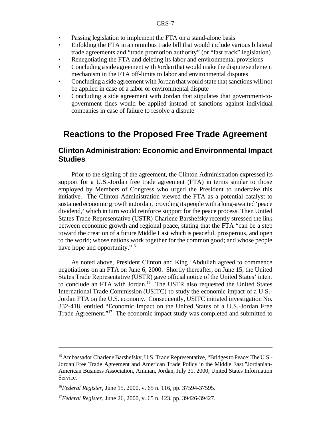- Passing legislation to implement the FTA on a stand-alone basis
- Enfolding the FTA in an omnibus trade bill that would include various bilateral trade agreements and "trade promotion authority" (or "fast track" legislation)
- Renegotiating the FTA and deleting its labor and environmental provisions
- Concluding a side agreement with Jordan that would make the dispute settlement mechanism in the FTA off-limits to labor and environmental disputes
- Concluding a side agreement with Jordan that would state that sanctions will not be applied in case of a labor or environmental dispute
- Concluding a side agreement with Jordan that stipulates that government-togovernment fines would be applied instead of sanctions against individual companies in case of failure to resolve a dispute

## **Reactions to the Proposed Free Trade Agreement**

#### **Clinton Administration: Economic and Environmental Impact Studies**

Prior to the signing of the agreement, the Clinton Administration expressed its support for a U.S.-Jordan free trade agreement (FTA) in terms similar to those employed by Members of Congress who urged the President to undertake this initiative. The Clinton Administration viewed the FTA as a potential catalyst to sustained economic growth in Jordan, providing its people witha long-awaited 'peace dividend,' which in turn would reinforce support for the peace process. Then United States Trade Representative (USTR) Charlene Barshefsky recently stressed the link between economic growth and regional peace, stating that the FTA "can be a step toward the creation of a future Middle East which is peaceful, prosperous, and open to the world; whose nations work together for the common good; and whose people have hope and opportunity."<sup>15</sup>

As noted above, President Clinton and King 'Abdullah agreed to commence negotiations on an FTA on June 6, 2000. Shortly thereafter, on June 15, the United States Trade Representative (USTR) gave official notice of the United States' intent to conclude an FTA with Jordan.<sup>16</sup> The USTR also requested the United States International Trade Commission (USITC) to study the economic impact of a U.S.- Jordan FTA on the U.S. economy. Consequently, USITC initiated investigation No. 332-418, entitled "Economic Impact on the United States of a U.S.-Jordan Free Trade Agreement."<sup>17</sup> The economic impact study was completed and submitted to

<sup>&</sup>lt;sup>15</sup> Ambassador Charlene Barshefsky, U.S. Trade Representative, "Bridges to Peace: The U.S.-Jordan Free Trade Agreement and American Trade Policy in the Middle East,"Jordanian-American Business Association, Amman, Jordan, July 31, 2000, United States Information Service.

<sup>16</sup>*Federal Register*, June 15, 2000, v. 65 n. 116, pp. 37594-37595.

<sup>17</sup>*Federal Register*, June 26, 2000, v. 65 n. 123, pp. 39426-39427.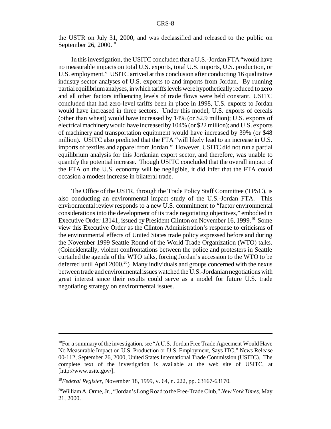the USTR on July 31, 2000, and was declassified and released to the public on September 26, 2000.<sup>18</sup>

In this investigation, the USITC concluded that a U.S.-Jordan FTA "would have no measurable impacts on total U.S. exports, total U.S. imports, U.S. production, or U.S. employment." USITC arrived at this conclusion after conducting 16 qualitative industry sector analyses of U.S. exports to and imports from Jordan. By running partial equilibriumanalyses, inwhich tariffslevelswere hypothetically reduced to zero and all other factors influencing levels of trade flows were held constant, USITC concluded that had zero-level tariffs been in place in 1998, U.S. exports to Jordan would have increased in three sectors. Under this model, U.S. exports of cereals (other than wheat) would have increased by 14% (or \$2.9 million); U.S. exports of electricalmachinerywould have increased by104% (or \$22 million); and U.S. exports of machinery and transportation equipment would have increased by 39% (or \$48 million). USITC also predicted that the FTA "will likely lead to an increase in U.S. imports of textiles and apparel from Jordan." However, USITC did not run a partial equilibrium analysis for this Jordanian export sector, and therefore, was unable to quantify the potential increase. Though USITC concluded that the overall impact of the FTA on the U.S. economy will be negligible, it did infer that the FTA could occasion a modest increase in bilateral trade.

The Office of the USTR, through the Trade Policy Staff Committee (TPSC), is also conducting an environmental impact study of the U.S.-Jordan FTA. This environmental review responds to a new U.S. commitment to "factor environmental considerations into the development of its trade negotiating objectives," embodied in Executive Order 13141, issued by President Clinton on November 16, 1999.<sup>19</sup> Some view this Executive Order as the Clinton Administration's response to criticisms of the environmental effects of United States trade policy expressed before and during the November 1999 Seattle Round of the World Trade Organization (WTO) talks. (Coincidentally, violent confrontations between the police and protesters in Seattle curtailed the agenda of the WTO talks, forcing Jordan's accession to the WTO to be deferred until April  $2000<sup>20</sup>$  Many individuals and groups concerned with the nexus betweentrade and environmentalissueswatched the U.S.-Jordanian negotiations with great interest since their results could serve as a model for future U.S. trade negotiating strategy on environmental issues.

<sup>&</sup>lt;sup>18</sup>For a summary of the investigation, see "A U.S.-Jordan Free Trade Agreement Would Have No Measurable Impact on U.S. Production or U.S. Employment, Says ITC," News Release 00-112, September 26, 2000, United States International Trade Commission (USITC). The complete text of the investigation is available at the web site of USITC, at [http://www.usitc.gov/].

<sup>19</sup>*Federal Register*, November 18, 1999, v. 64, n. 222, pp. 63167-63170.

<sup>20</sup>WilliamA. Orme, Jr., "Jordan'sLongRoad to the Free-Trade Club,"*NewYork Times*, May 21, 2000.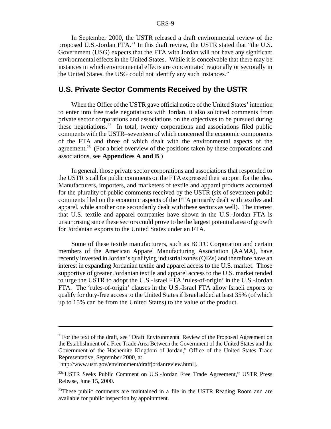In September 2000, the USTR released a draft environmental review of the proposed U.S.-Jordan FTA. $^{21}$  In this draft review, the USTR stated that "the U.S. Government (USG) expects that the FTA with Jordan will not have any significant environmental effects in the United States. While it is conceivable that there may be instances in which environmental effects are concentrated regionally or sectorally in the United States, the USG could not identify any such instances."

#### **U.S. Private Sector Comments Received by the USTR**

When the Office of the USTR gave official notice of the United States' intention to enter into free trade negotiations with Jordan, it also solicited comments from private sector corporations and associations on the objectives to be pursued during these negotiations.<sup>22</sup> In total, twenty corporations and associations filed public comments with the USTR–seventeen of which concerned the economic components of the FTA and three of which dealt with the environmental aspects of the agreement.<sup>23</sup> (For a brief overview of the positions taken by these corporations and associations, see **Appendices A and B**.)

In general, those private sector corporations and associations that responded to the USTR's call for public comments on the FTA expressed their support for the idea. Manufacturers, importers, and marketers of textile and apparel products accounted for the plurality of public comments received by the USTR (six of seventeen public comments filed on the economic aspects of the FTA primarily dealt with textiles and apparel, while another one secondarily dealt with these sectors as well). The interest that U.S. textile and apparel companies have shown in the U.S.-Jordan FTA is unsurprising since these sectors could prove to be the largest potential area of growth for Jordanian exports to the United States under an FTA.

Some of these textile manufacturers, such as BCTC Corporation and certain members of the American Apparel Manufacturing Association (AAMA), have recently invested in Jordan's qualifying industrial zones (QIZs) and therefore have an interest in expanding Jordanian textile and apparel access to the U.S. market. Those supportive of greater Jordanian textile and apparel access to the U.S. market tended to urge the USTR to adopt the U.S.-Israel FTA 'rules-of-origin' in the U.S.-Jordan FTA. The 'rules-of-origin' clauses in the U.S.-Israel FTA allow Israeli exports to qualify for duty-free access to the United States if Israel added at least 35% (of which up to 15% can be from the United States) to the value of the product.

 $21$ For the text of the draft, see "Draft Environmental Review of the Proposed Agreement on the Establishment of a Free Trade Area Between the Government of the United States and the Government of the Hashemite Kingdom of Jordan," Office of the United States Trade Representative, September 2000, at

<sup>[</sup>http://www.ustr.gov/environment/draftjordanreview.html].

<sup>22</sup>"USTR Seeks Public Comment on U.S.-Jordan Free Trade Agreement," USTR Press Release, June 15, 2000.

 $23$ These public comments are maintained in a file in the USTR Reading Room and are available for public inspection by appointment.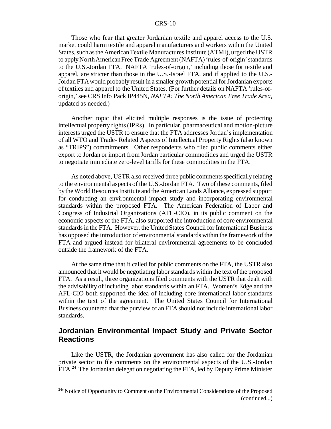#### CRS-10

Those who fear that greater Jordanian textile and apparel access to the U.S. market could harm textile and apparel manufacturers and workers within the United States, such as the American Textile Manufactures Institute (ATMI), urged the USTR to apply North American Free Trade Agreement (NAFTA) 'rules-of-origin' standards to the U.S.-Jordan FTA. NAFTA 'rules-of-origin,' including those for textile and apparel, are stricter than those in the U.S.-Israel FTA, and if applied to the U.S.- Jordan FTA would probably result in a smaller growth potential for Jordanian exports of textiles and apparel to the United States. (For further details on NAFTA 'rules-oforigin,'see CRS Info Pack IP445N, *NAFTA: The North American Free Trade Area*, updated as needed.)

Another topic that elicited multiple responses is the issue of protecting intellectual property rights(IPRs). In particular, pharmaceutical and motion-picture interests urged the USTR to ensure that the FTA addresses Jordan's implementation of all WTO and Trade- Related Aspects of Intellectual Property Rights (also known as "TRIPS") commitments. Other respondents who filed public comments either export to Jordan or import from Jordan particular commodities and urged the USTR to negotiate immediate zero-level tariffs for these commodities in the FTA.

As noted above, USTR also received three public comments specifically relating to the environmental aspects of the U.S.-Jordan FTA. Two of these comments, filed by the World Resources Institute and the American Lands Alliance, expressed support for conducting an environmental impact study and incorporating environmental standards within the proposed FTA. The American Federation of Labor and Congress of Industrial Organizations (AFL-CIO), in its public comment on the economic aspects of the FTA, also supported the introduction of core environmental standardsin the FTA. However, the United States Council for International Business has opposed the introduction of environmental standards within the framework of the FTA and argued instead for bilateral environmental agreements to be concluded outside the framework of the FTA.

At the same time that it called for public comments on the FTA, the USTR also announced that it would be negotiating laborstandards within the text ofthe proposed FTA. As a result, three organizations filed comments with the USTR that dealt with the advisability of including labor standards within an FTA. Women's Edge and the AFL-CIO both supported the idea of including core international labor standards within the text of the agreement. The United States Council for International Business countered that the purview of an FTAshould not include international labor standards.

### **Jordanian Environmental Impact Study and Private Sector Reactions**

Like the USTR, the Jordanian government has also called for the Jordanian private sector to file comments on the environmental aspects of the U.S.-Jordan FTA.24 The Jordanian delegation negotiating the FTA, led by Deputy Prime Minister

<sup>&</sup>lt;sup>24"</sup>Notice of Opportunity to Comment on the Environmental Considerations of the Proposed (continued...)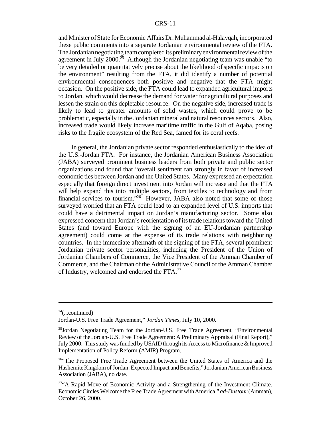#### CRS-11

and Minister of State for Economic Affairs Dr. Muhammad al-Halayqah, incorporated these public comments into a separate Jordanian environmental review of the FTA. The Jordanian negotiating team completed its preliminary environmental review of the agreement in July  $2000$ <sup>25</sup> Although the Jordanian negotiating team was unable "to be very detailed or quantitatively precise about the likelihood of specific impacts on the environment" resulting from the FTA, it did identify a number of potential environmental consequences–both positive and negative–that the FTA might occasion. On the positive side, the FTA could lead to expanded agricultural imports to Jordan, which would decrease the demand for water for agricultural purposes and lessen the strain on this depletable resource. On the negative side, increased trade is likely to lead to greater amounts of solid wastes, which could prove to be problematic, especially in the Jordanian mineral and natural resources sectors. Also, increased trade would likely increase maritime traffic in the Gulf of Aqaba, posing risks to the fragile ecosystem of the Red Sea, famed for its coral reefs.

In general, the Jordanian private sector responded enthusiastically to the idea of the U.S.-Jordan FTA. For instance, the Jordanian American Business Association (JABA) surveyed prominent business leaders from both private and public sector organizations and found that "overall sentiment ran strongly in favor of increased economic ties between Jordan and the United States. Many expressed an expectation especially that foreign direct investment into Jordan will increase and that the FTA will help expand this into multiple sectors, from textiles to technology and from financial services to tourism."<sup>26</sup> However, JABA also noted that some of those surveyed worried that an FTA could lead to an expanded level of U.S. imports that could have a detrimental impact on Jordan's manufacturing sector. Some also expressed concern that Jordan's reorientation of its trade relations toward the United States (and toward Europe with the signing of an EU-Jordanian partnership agreement) could come at the expense of its trade relations with neighboring countries. In the immediate aftermath of the signing of the FTA, several prominent Jordanian private sector personalities, including the President of the Union of Jordanian Chambers of Commerce, the Vice President of the Amman Chamber of Commerce, and the Chairman of the Administrative Council of the Amman Chamber of Industry, welcomed and endorsed the FTA.<sup>27</sup>

 $24$ (...continued)

Jordan-U.S. Free Trade Agreement," *Jordan Times*, July 10, 2000.

 $^{25}$ Jordan Negotiating Team for the Jordan-U.S. Free Trade Agreement, "Environmental" Review of the Jordan-U.S. Free Trade Agreement: A Preliminary Appraisal (Final Report)," July 2000. This study was funded by USAID through its Access to Microfinance & Improved Implementation of Policy Reform (AMIR) Program.

<sup>&</sup>lt;sup>26"</sup>The Proposed Free Trade Agreement between the United States of America and the Hashemite Kingdom of Jordan: Expected Impact and Benefits," Jordanian American Business Association (JABA), no date.

 $27^\circ$ A Rapid Move of Economic Activity and a Strengthening of the Investment Climate. EconomicCircles Welcome the Free Trade Agreement withAmerica,"*ad-Dustour*(Amman), October 26, 2000.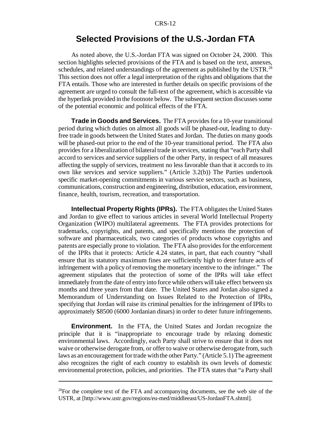## **Selected Provisions of the U.S.-Jordan FTA**

As noted above, the U.S.-Jordan FTA was signed on October 24, 2000. This section highlights selected provisions of the FTA and is based on the text, annexes, schedules, and related understandings of the agreement as published by the USTR.<sup>28</sup> This section does not offer a legal interpretation of the rights and obligations that the FTA entails. Those who are interested in further details on specific provisions of the agreement are urged to consult the full-text of the agreement, which is accessible via the hyperlink provided in the footnote below. The subsequent section discusses some of the potential economic and political effects of the FTA.

**Trade in Goods and Services.** The FTA provides for a 10-year transitional period during which duties on almost all goods will be phased-out, leading to dutyfree trade in goods between the United States and Jordan. The duties on many goods will be phased-out prior to the end of the 10-year transitional period. The FTA also providesfor a liberalization of bilateral trade in services, stating that "each Party shall accord to services and service suppliers of the other Party, in respect of all measures affecting the supply of services, treatment no less favorable than that it accords to its own like services and service suppliers." (Article 3.2(b)) The Parties undertook specific market-opening commitments in various service sectors, such as business, communications, construction and engineering, distribution, education, environment, finance, health, tourism, recreation, and transportation.

**Intellectual Property Rights (IPRs).** The FTA obligates the United States and Jordan to give effect to various articles in several World Intellectual Property Organization (WIPO) multilateral agreements. The FTA provides protections for trademarks, copyrights, and patents, and specifically mentions the protection of software and pharmaceuticals, two categories of products whose copyrights and patents are especially prone to violation. The FTA also provides for the enforcement of the IPRs that it protects: Article 4.24 states, in part, that each country "shall ensure that its statutory maximum fines are sufficiently high to deter future acts of infringement with a policy of removing the monetary incentive to the infringer." The agreement stipulates that the protection of some of the IPRs will take effect immediately fromthe date of entry into force while others will take effect between six months and three years from that date. The United States and Jordan also signed a Memorandum of Understanding on Issues Related to the Protection of IPRs, specifying that Jordan will raise its criminal penalties for the infringement of IPRs to approximately \$8500 (6000 Jordanian dinars) in order to deter future infringements.

**Environment.** In the FTA, the United States and Jordan recognize the principle that it is "inappropriate to encourage trade by relaxing domestic environmental laws. Accordingly, each Party shall strive to ensure that it does not waive or otherwise derogate from, or offer to waive or otherwise derogate from, such laws as an encouragement for trade with the other Party." (Article 5.1) The agreement also recognizes the right of each country to establish its own levels of domestic environmental protection, policies, and priorities. The FTA states that "a Party shall

 $^{28}$ For the complete text of the FTA and accompanying documents, see the web site of the USTR, at [http://www.ustr.gov/regions/eu-med/middleeast/US-JordanFTA.shtml].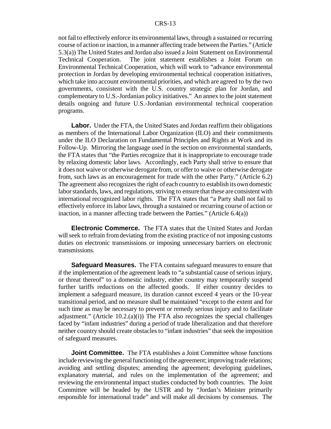not fail to effectively enforce its environmental laws, through a sustained or recurring course of action or inaction, in a manner affecting trade between the Parties." (Article 5.3(a)) The United States and Jordan also issued a Joint Statement on Environmental Technical Cooperation. The joint statement establishes a Joint Forum on Environmental Technical Cooperation, which will work to "advance environmental protection in Jordan by developing environmental technical cooperation initiatives, which take into account environmental priorities, and which are agreed to by the two governments, consistent with the U.S. country strategic plan for Jordan, and complementary to U.S.-Jordanian policy initiatives." An annex to the joint statement details ongoing and future U.S.-Jordanian environmental technical cooperation programs.

**Labor.** Under the FTA, the United States and Jordan reaffirm their obligations as members of the International Labor Organization (ILO) and their commitments under the ILO Declaration on Fundamental Principles and Rights at Work and its Follow-Up. Mirroring the language used in the section on environmental standards, the FTA states that "the Parties recognize that it is inappropriate to encourage trade by relaxing domestic labor laws. Accordingly, each Party shall strive to ensure that it does not waive or otherwise derogate from, or offer to waive or otherwise derogate from, such laws as an encouragement for trade with the other Party." (Article 6.2) The agreement also recognizes the right of each country to establish its own domestic labor standards, laws, and regulations, striving to ensure that these are consistent with international recognized labor rights. The FTA states that "a Party shall not fail to effectively enforce itslabor laws, through a sustained or recurring course of action or inaction, in a manner affecting trade between the Parties." (Article 6.4(a))

**Electronic Commerce.** The FTA states that the United States and Jordan will seek to refrain from deviating from the existing practice of not imposing customs duties on electronic transmissions or imposing unnecessary barriers on electronic transmissions.

**Safeguard Measures.** The FTA contains safeguard measures to ensure that if the implementation of the agreement leads to "a substantial cause of serious injury, or threat thereof" to a domestic industry, either country may temporarily suspend further tariffs reductions on the affected goods. If either country decides to implement a safeguard measure, its duration cannot exceed 4 years or the 10-year transitional period, and no measure shall be maintained "except to the extent and for such time as may be necessary to prevent or remedy serious injury and to facilitate adjustment." (Article 10.2.(a)(i)) The FTA also recognizes the special challenges faced by "infant industries" during a period of trade liberalization and that therefore neither country should create obstacles to "infant industries" that seek the imposition of safeguard measures.

**Joint Committee.** The FTA establishes a Joint Committee whose functions include reviewing the general functioning of the agreement; improving trade relations; avoiding and settling disputes; amending the agreement; developing guidelines, explanatory material, and rules on the implementation of the agreement; and reviewing the environmental impact studies conducted by both countries. The Joint Committee will be headed by the USTR and by "Jordan's Minister primarily responsible for international trade" and will make all decisions by consensus. The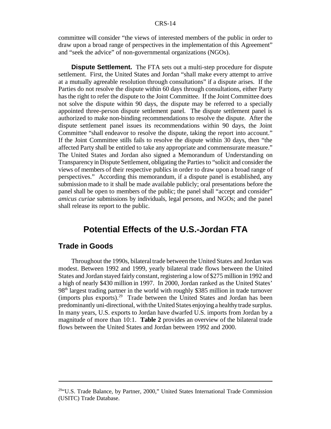#### CRS-14

committee will consider "the views of interested members of the public in order to draw upon a broad range of perspectives in the implementation of this Agreement" and "seek the advice" of non-governmental organizations (NGOs).

**Dispute Settlement.** The FTA sets out a multi-step procedure for dispute settlement. First, the United States and Jordan "shall make every attempt to arrive at a mutually agreeable resolution through consultations" if a dispute arises. If the Parties do not resolve the dispute within 60 days through consultations, either Party hasthe right to refer the dispute to the Joint Committee. If the Joint Committee does not solve the dispute within 90 days, the dispute may be referred to a specially appointed three-person dispute settlement panel. The dispute settlement panel is authorized to make non-binding recommendations to resolve the dispute. After the dispute settlement panel issues its recommendations within 90 days, the Joint Committee "shall endeavor to resolve the dispute, taking the report into account." If the Joint Committee stills fails to resolve the dispute within 30 days, then "the affected Party shall be entitled to take any appropriate and commensurate measure." The United States and Jordan also signed a Memorandum of Understanding on TransparencyinDispute Settlement, obligating the Partiesto "solicit and consider the views of members of their respective publics in order to draw upon a broad range of perspectives." According this memorandum, if a dispute panel is established, any submission made to it shall be made available publicly; oral presentations before the panel shall be open to members of the public; the panel shall "accept and consider" *amicus curiae* submissions by individuals, legal persons, and NGOs; and the panel shall release its report to the public.

## **Potential Effects of the U.S.-Jordan FTA**

#### **Trade in Goods**

Throughout the 1990s, bilateral trade between the United States and Jordan was modest. Between 1992 and 1999, yearly bilateral trade flows between the United States and Jordan stayed fairly constant, registering a low of \$275 million in 1992 and a high of nearly \$430 million in 1997. In 2000, Jordan ranked as the United States'  $98<sup>th</sup>$  largest trading partner in the world with roughly \$385 million in trade turnover (imports plus exports).<sup>29</sup> Trade between the United States and Jordan has been predominantly uni-directional, with the United States enjoying a healthy trade surplus. In many years, U.S. exports to Jordan have dwarfed U.S. imports from Jordan by a magnitude of more than 10:1. **Table 2** provides an overview of the bilateral trade flows between the United States and Jordan between 1992 and 2000.

 $29^{29}$ "U.S. Trade Balance, by Partner, 2000," United States International Trade Commission (USITC) Trade Database.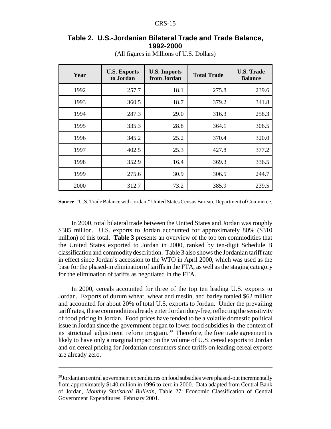#### **Table 2. U.S.-Jordanian Bilateral Trade and Trade Balance, 1992-2000**

| Year | <b>U.S. Exports</b><br>to Jordan | <b>U.S. Imports</b><br>from Jordan | <b>Total Trade</b> | <b>U.S. Trade</b><br><b>Balance</b> |
|------|----------------------------------|------------------------------------|--------------------|-------------------------------------|
| 1992 | 257.7                            | 18.1                               | 275.8              | 239.6                               |
| 1993 | 360.5                            | 18.7                               | 379.2              | 341.8                               |
| 1994 | 287.3                            | 29.0                               | 316.3              | 258.3                               |
| 1995 | 335.3                            | 28.8                               | 364.1              | 306.5                               |
| 1996 | 345.2                            | 25.2                               | 370.4              | 320.0                               |
| 1997 | 402.5                            | 25.3                               | 427.8              | 377.2                               |
| 1998 | 352.9                            | 16.4                               | 369.3              | 336.5                               |
| 1999 | 275.6                            | 30.9                               | 306.5              | 244.7                               |
| 2000 | 312.7                            | 73.2                               | 385.9              | 239.5                               |

(All figures in Millions of U.S. Dollars)

**Source**: "U.S. Trade Balance with Jordan," United States Census Bureau, Department of Commerce.

In 2000, total bilateral trade between the United States and Jordan was roughly \$385 million. U.S. exports to Jordan accounted for approximately 80% (\$310) million) of this total. **Table 3** presents an overview of the top ten commodities that the United States exported to Jordan in 2000, ranked by ten-digit Schedule B classification and commoditydescription. Table 3 also shows the Jordanian tariff rate in effect since Jordan's accession to the WTO in April 2000, which was used as the base for the phased-in elimination of tariffs in the FTA, as well as the staging category for the elimination of tariffs as negotiated in the FTA.

In 2000, cereals accounted for three of the top ten leading U.S. exports to Jordan. Exports of durum wheat, wheat and meslin, and barley totaled \$62 million and accounted for about 20% of total U.S. exports to Jordan. Under the prevailing tariff rates, these commodities already enter Jordan duty-free, reflecting the sensitivity of food pricing in Jordan. Food prices have tended to be a volatile domestic political issue in Jordan since the government began to lower food subsidies in the context of its structural adjustment reform program.<sup>30</sup> Therefore, the free trade agreement is likely to have only a marginal impact on the volume of U.S. cereal exports to Jordan and on cereal pricing for Jordanian consumers since tariffs on leading cereal exports are already zero.

<sup>&</sup>lt;sup>30</sup>Jordanian central government expenditures on food subsidies were phased-out incrementally from approximately \$140 million in 1996 to zero in 2000. Data adapted from Central Bank of Jordan, *Monthly Statistical Bulletin*, Table 27: Economic Classification of Central Government Expenditures, February 2001.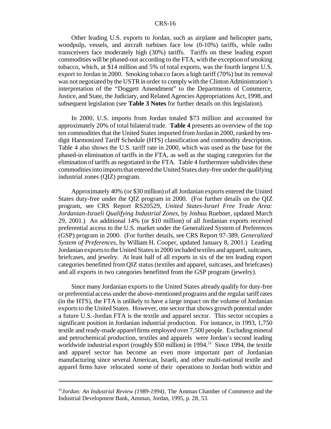#### CRS-16

Other leading U.S. exports to Jordan, such as airplane and helicopter parts, woodpulp, vessels, and aircraft turbines face low (0-10%) tariffs, while radio transceivers face moderately high (30%) tariffs. Tariffs on these leading export commodities will be phased-out according to the FTA, with the exception of smoking tobacco, which, at \$14 million and 5% of total exports, was the fourth largest U.S. export to Jordan in 2000. Smoking tobacco faces a high tariff (70%) but its removal was not negotiated by the USTR in order to comply with the Clinton Administration's interpretation of the "Doggett Amendment" to the Departments of Commerce, Justice, and State, the Judiciary, and Related Agencies Appropriations Act, 1998, and subsequent legislation (see **Table 3 Notes** for further details on this legislation).

In 2000, U.S. imports from Jordan totaled \$73 million and accounted for approximately 20% of total bilateral trade. **Table 4** presents an overview of the top ten commodities that the United States imported from Jordan in 2000, ranked by tendigit Harmonized Tariff Schedule (HTS) classification and commodity description. Table 4 also shows the U.S. tariff rate in 2000, which was used as the base for the phased-in elimination of tariffs in the FTA, as well as the staging categories for the elimination of tariffs as negotiated in the FTA. Table 4 furthermore subdivides these commodities into imports that entered the United States duty-free under the qualifying industrial zones (QIZ) program.

Approximately 40% (or \$30 million) of all Jordanian exports entered the United States duty-free under the QIZ program in 2000. (For further details on the QIZ program, see CRS Report RS20529, *United States-Israel Free Trade Area: Jordanian-Israeli Qualifying Industrial Zones*, by Joshua Ruebner, updated March 29, 2001.) An additional 14% (or \$10 million) of all Jordanian exports received preferential access to the U.S. market under the Generalized System of Preferences (GSP) program in 2000. (For further details, see CRS Report 97-389, *Generalized System of Preferences*, by William H. Cooper, updated January 8, 2001.) Leading Jordanian exports to the United States in 2000 included textiles and apparel, suitcases, briefcases, and jewelry. At least half of all exports in six of the ten leading export categories benefitted fromQIZ status (textiles and apparel, suitcases, and briefcases) and all exports in two categories benefitted from the GSP program (jewelry).

Since many Jordanian exports to the United States already qualify for duty-free or preferential access under the above-mentioned programs and the regular tariffrates (in the HTS), the FTA is unlikely to have a large impact on the volume of Jordanian exports to the United States. However, one sector that shows growth potential under a future U.S.-Jordan FTA is the textile and apparel sector. This sector occupies a significant position in Jordanian industrial production. For instance, in 1993, 1,750 textile and ready-made apparel firms employed over 7,500 people. Excluding mineral and petrochemical production, textiles and apparels were Jordan's second leading worldwide industrial export (roughly  $$50$  million) in 1994.<sup>31</sup> Since 1994, the textile and apparel sector has become an even more important part of Jordanian manufacturing since several American, Israeli, and other multi-national textile and apparel firms have relocated some of their operations to Jordan both within and

<sup>31</sup>*Jordan: An Industrial Review (1989-1994)*, The Amman Chamber of Commerce and the Industrial Development Bank, Amman, Jordan, 1995, p*.* 28, 53.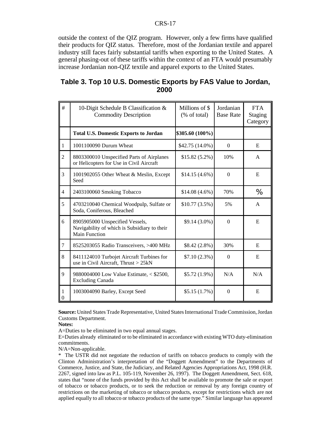#### CRS-17

outside the context of the QIZ program. However, only a few firms have qualified their products for QIZ status. Therefore, most of the Jordanian textile and apparel industry still faces fairly substantial tariffs when exporting to the United States. A general phasing-out of these tariffs within the context of an FTA would presumably increase Jordanian non-QIZ textile and apparel exports to the United States.

#### **Table 3. Top 10 U.S. Domestic Exports by FAS Value to Jordan, 2000**

| #              | 10-Digit Schedule B Classification &<br><b>Commodity Description</b>                             | Millions of \$<br>(% of total) | Jordanian<br><b>Base Rate</b> | <b>FTA</b><br><b>Staging</b><br>Category |
|----------------|--------------------------------------------------------------------------------------------------|--------------------------------|-------------------------------|------------------------------------------|
|                | <b>Total U.S. Domestic Exports to Jordan</b>                                                     | \$305.60 (100%)                |                               |                                          |
| $\mathbf{1}$   | 1001100090 Durum Wheat                                                                           | \$42.75 (14.0%)                | $\mathbf{0}$                  | E                                        |
| $\overline{2}$ | 8803300010 Unspecified Parts of Airplanes<br>or Helicopters for Use in Civil Aircraft            | $$15.82(5.2\%)$                | 10%                           | $\mathsf{A}$                             |
| 3              | 1001902055 Other Wheat & Meslin, Except<br>Seed                                                  | $$14.15(4.6\%)$                | $\Omega$                      | E                                        |
| $\overline{4}$ | 2403100060 Smoking Tobacco                                                                       | $$14.08(4.6\%)$                | 70%                           | %                                        |
| 5              | 4703210040 Chemical Woodpulp, Sulfate or<br>Soda, Coniferous, Bleached                           | $$10.77(3.5\%)$                | 5%                            | A                                        |
| 6              | 8905905000 Unspecified Vessels,<br>Navigability of which is Subsidiary to their<br>Main Function | $$9.14(3.0\%)$                 | $\Omega$                      | E                                        |
| $\tau$         | 8525203055 Radio Transceivers, >400 MHz                                                          | $$8.42(2.8\%)$                 | 30%                           | E                                        |
| 8              | 8411124010 Turbojet Aircraft Turbines for<br>use in Civil Aircraft, Thrust > 25kN                | $$7.10(2.3\%)$                 | $\Omega$                      | E                                        |
| 9              | 9880004000 Low Value Estimate, < \$2500,<br><b>Excluding Canada</b>                              | $$5.72(1.9\%)$                 | N/A                           | N/A                                      |
| 1<br>$\Omega$  | 1003004090 Barley, Except Seed                                                                   | $$5.15(1.7\%)$                 | $\Omega$                      | E                                        |

Source: United States Trade Representative, United States International Trade Commission, Jordan Customs Department.

**Notes:**

A=Duties to be eliminated in two equal annual stages.

E=Duties already eliminated or to be eliminated in accordance with existing WTO duty-elimination commitments.

N/A=Non-applicable.

\* The USTR did not negotiate the reduction of tariffs on tobacco products to comply with the Clinton Administration's interpretation of the "Doggett Amendment" to the Departments of Commerce, Justice, and State, the Judiciary, and Related Agencies Appropriations Act, 1998 (H.R. 2267, signed into law as P.L. 105-119, November 26, 1997). The Doggett Amendment, Sect. 618, states that "none of the funds provided by this Act shall be available to promote the sale or export of tobacco or tobacco products, or to seek the reduction or removal by any foreign country of restrictions on the marketing of tobacco or tobacco products, except for restrictions which are not applied equally to all tobacco or tobacco products of the same type." Similar language has appeared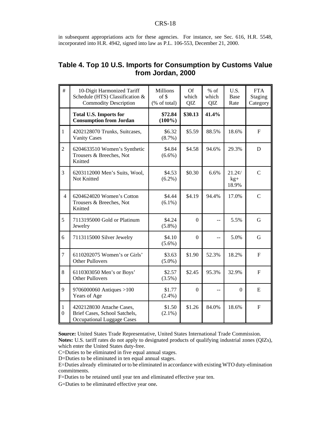in subsequent appropriations acts for these agencies. For instance, see Sec. 616, H.R. 5548, incorporated into H.R. 4942, signed into law as P.L. 106-553, December 21, 2000.

## **Table 4. Top 10 U.S. Imports for Consumption by Customs Value from Jordan, 2000**

| #                     | 10-Digit Harmonized Tariff<br>Schedule (HTS) Classification &<br><b>Commodity Description</b> | <b>Millions</b><br>of \$<br>(% of total) | Of<br>which<br>QIZ | $%$ of<br>which<br>QIZ | U.S.<br><b>Base</b><br>Rate   | <b>FTA</b><br>Staging<br>Category |
|-----------------------|-----------------------------------------------------------------------------------------------|------------------------------------------|--------------------|------------------------|-------------------------------|-----------------------------------|
|                       | <b>Total U.S. Imports for</b><br><b>Consumption from Jordan</b>                               | \$72.84<br>$(100\%)$                     | \$30.13            | 41.4%                  |                               |                                   |
| $\mathbf{1}$          | 4202128070 Trunks, Suitcases,<br><b>Vanity Cases</b>                                          | \$6.32<br>$(8.7\%)$                      | \$5.59             | 88.5%                  | 18.6%                         | $\overline{F}$                    |
| $\overline{2}$        | 6204633510 Women's Synthetic<br>Trousers & Breeches, Not<br>Knitted                           | \$4.84<br>$(6.6\%)$                      | \$4.58             | 94.6%                  | 29.3%                         | D                                 |
| 3                     | 6203112000 Men's Suits, Wool,<br>Not Knitted                                                  | \$4.53<br>$(6.2\%)$                      | \$0.30             | 6.6%                   | $21.2\ell/$<br>$kg+$<br>18.9% | $\mathcal{C}$                     |
| $\overline{4}$        | 6204624020 Women's Cotton<br>Trousers & Breeches, Not<br>Knitted                              | \$4.44<br>$(6.1\%)$                      | \$4.19             | 94.4%                  | 17.0%                         | $\mathcal{C}$                     |
| 5                     | 7113195000 Gold or Platinum<br>Jewelry                                                        | \$4.24<br>$(5.8\%)$                      | $\theta$           | --                     | 5.5%                          | G                                 |
| 6                     | 7113115000 Silver Jewelry                                                                     | \$4.10<br>$(5.6\%)$                      | $\overline{0}$     | --                     | 5.0%                          | G                                 |
| $\overline{7}$        | 6110202075 Women's or Girls'<br><b>Other Pullovers</b>                                        | \$3.63<br>$(5.0\%)$                      | \$1.90             | 52.3%                  | 18.2%                         | $\mathbf{F}$                      |
| 8                     | 6110303050 Men's or Boys'<br><b>Other Pullovers</b>                                           | \$2.57<br>(3.5%)                         | \$2.45             | 95.3%                  | 32.9%                         | $\mathbf{F}$                      |
| 9                     | 9706000060 Antiques >100<br>Years of Age                                                      | \$1.77<br>$(2.4\%)$                      | $\boldsymbol{0}$   |                        | $\boldsymbol{0}$              | E                                 |
| 1<br>$\boldsymbol{0}$ | 4202128030 Attache Cases,<br>Brief Cases, School Satchels,<br>Occupational Luggage Cases      | \$1.50<br>$(2.1\%)$                      | \$1.26             | 84.0%                  | 18.6%                         | ${\bf F}$                         |

**Source:** United States Trade Representative, United States International Trade Commission. **Notes:** U.S. tariff rates do not apply to designated products of qualifying industrial zones (QIZs), which enter the United States duty-free.

C=Duties to be eliminated in five equal annual stages.

D=Duties to be eliminated in ten equal annual stages.

E=Duties already eliminated or to be eliminated in accordance with existing WTO duty-elimination commitments.

F=Duties to be retained until year ten and eliminated effective year ten.

G=Duties to be eliminated effective year one.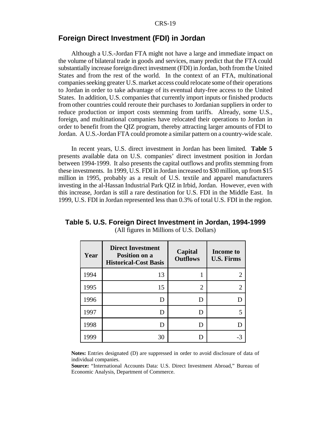#### **Foreign Direct Investment (FDI) in Jordan**

Although a U.S.-Jordan FTA might not have a large and immediate impact on the volume of bilateral trade in goods and services, many predict that the FTA could substantially increase foreign direct investment (FDI) in Jordan, both fromthe United States and from the rest of the world. In the context of an FTA, multinational companies seeking greater U.S. market access could relocate some of their operations to Jordan in order to take advantage of its eventual duty-free access to the United States. In addition, U.S. companies that currently import inputs or finished products from other countries could reroute their purchases to Jordanian suppliers in order to reduce production or import costs stemming from tariffs. Already, some U.S., foreign, and multinational companies have relocated their operations to Jordan in order to benefit from the QIZ program, thereby attracting larger amounts of FDI to Jordan. A U.S.-Jordan FTA could promote a similar pattern on a country-wide scale.

In recent years, U.S. direct investment in Jordan has been limited. **Table 5** presents available data on U.S. companies' direct investment position in Jordan between 1994-1999. It also presents the capital outflows and profits stemming from these investments. In 1999, U.S. FDI in Jordan increased to \$30 million, up from \$15 million in 1995, probably as a result of U.S. textile and apparel manufacturers investing in the al-Hassan Industrial Park QIZ in Irbid, Jordan. However, even with this increase, Jordan is still a rare destination for U.S. FDI in the Middle East. In 1999, U.S. FDI in Jordan represented less than 0.3% of total U.S. FDI in the region.

| Year | <b>Direct Investment</b><br><b>Position on a</b><br><b>Historical-Cost Basis</b> | Capital<br><b>Outflows</b> | Income to<br><b>U.S. Firms</b> |
|------|----------------------------------------------------------------------------------|----------------------------|--------------------------------|
| 1994 | 13                                                                               |                            |                                |
| 1995 | 15                                                                               | 2                          | 2                              |
| 1996 | D                                                                                |                            |                                |
| 1997 | D                                                                                | D                          | 5                              |
| 1998 | D                                                                                |                            |                                |
| 1999 | 30                                                                               |                            |                                |

#### **Table 5. U.S. Foreign Direct Investment in Jordan, 1994-1999** (All figures in Millions of U.S. Dollars)

**Notes:** Entries designated (D) are suppressed in order to avoid disclosure of data of individual companies.

**Source:** "International Accounts Data: U.S. Direct Investment Abroad," Bureau of Economic Analysis, Department of Commerce.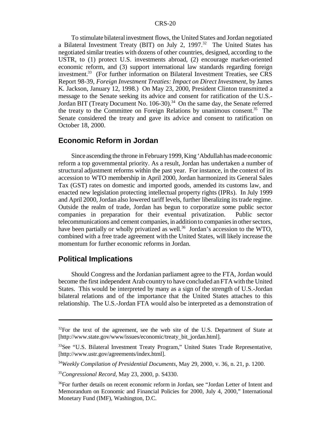To stimulate bilateralinvestment flows, the United States and Jordan negotiated a Bilateral Investment Treaty (BIT) on July 2, 1997.<sup>32</sup> The United States has negotiated similar treaties with dozens of other countries, designed, according to the USTR, to (1) protect U.S. investments abroad, (2) encourage market-oriented economic reform, and (3) support international law standards regarding foreign investment.<sup>33</sup> (For further information on Bilateral Investment Treaties, see CRS Report 98-39, *Foreign Investment Treaties: Impact on Direct Investment*, by James K. Jackson, January 12, 1998.) On May 23, 2000, President Clinton transmitted a message to the Senate seeking its advice and consent for ratification of the U.S.- Jordan BIT (Treaty Document No.  $106-30$ ).<sup>34</sup> On the same day, the Senate referred the treaty to the Committee on Foreign Relations by unanimous consent.<sup>35</sup> The Senate considered the treaty and gave its advice and consent to ratification on October 18, 2000.

#### **Economic Reform in Jordan**

Since ascending the throne in February 1999, King 'Abdullah has made economic reform a top governmental priority. As a result, Jordan has undertaken a number of structural adjustment reforms within the past year. For instance, in the context of its accession to WTO membership in April 2000, Jordan harmonized its General Sales Tax (GST) rates on domestic and imported goods, amended its customs law, and enacted new legislation protecting intellectual property rights (IPRs). In July 1999 and April 2000, Jordan also lowered tariff levels, further liberalizing its trade regime. Outside the realm of trade, Jordan has begun to corporatize some public sector companies in preparation for their eventual privatization. Public sector telecommunications and cement companies, in addition to companies in other sectors, have been partially or wholly privatized as well.<sup>36</sup> Jordan's accession to the WTO, combined with a free trade agreement with the United States, will likely increase the momentum for further economic reforms in Jordan.

#### **Political Implications**

Should Congress and the Jordanian parliament agree to the FTA, Jordan would become the first independent Arab country to have concluded an FTA with the United States. This would be interpreted by many as a sign of the strength of U.S.-Jordan bilateral relations and of the importance that the United States attaches to this relationship. The U.S.-Jordan FTA would also be interpreted as a demonstration of

 $32$ For the text of the agreement, see the web site of the U.S. Department of State at [http://www.state.gov/www/issues/economic/treaty\_bit\_jordan.html].

<sup>&</sup>lt;sup>33</sup>See "U.S. Bilateral Investment Treaty Program," United States Trade Representative, [http://www.ustr.gov/agreements/index.html].

<sup>34</sup>*Weekly Compilation of Presidential Documents*, May 29, 2000, v. 36, n. 21, p. 1200.

<sup>35</sup>*Congressional Record*, May 23, 2000, p. S4330.

<sup>&</sup>lt;sup>36</sup>For further details on recent economic reform in Jordan, see "Jordan Letter of Intent and Memorandum on Economic and Financial Policies for 2000, July 4, 2000," International Monetary Fund (IMF), Washington, D.C.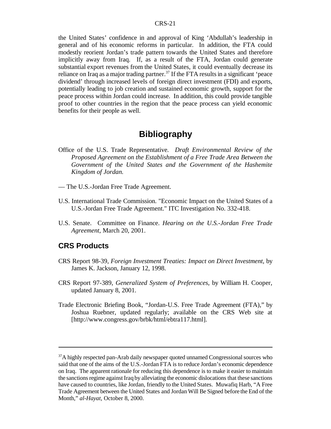the United States' confidence in and approval of King 'Abdullah's leadership in general and of his economic reforms in particular. In addition, the FTA could modestly reorient Jordan's trade pattern towards the United States and therefore implicitly away from Iraq. If, as a result of the FTA, Jordan could generate substantial export revenues from the United States, it could eventually decrease its reliance on Iraq as a major trading partner.<sup>37</sup> If the FTA results in a significant 'peace dividend' through increased levels of foreign direct investment (FDI) and exports, potentially leading to job creation and sustained economic growth, support for the peace process within Jordan could increase. In addition, this could provide tangible proof to other countries in the region that the peace process can yield economic benefits for their people as well.

## **Bibliography**

- Office of the U.S. Trade Representative. *Draft Environmental Review of the Proposed Agreement on the Establishment of a Free Trade Area Between the Government of the United States and the Government of the Hashemite Kingdom of Jordan.*
- –– The U.S.-Jordan Free Trade Agreement.
- U.S. International Trade Commission. "Economic Impact on the United States of a U.S.-Jordan Free Trade Agreement." ITC Investigation No. 332-418.
- U.S. Senate. Committee on Finance. *Hearing on the U.S.-Jordan Free Trade Agreement*, March 20, 2001.

#### **CRS Products**

- CRS Report 98-39, *Foreign Investment Treaties: Impact on Direct Investment*, by James K. Jackson, January 12, 1998.
- CRS Report 97-389, *Generalized System of Preferences*, by William H. Cooper, updated January 8, 2001.
- Trade Electronic Briefing Book, "Jordan-U.S. Free Trade Agreement (FTA)," by Joshua Ruebner, updated regularly; available on the CRS Web site at [http://www.congress.gov/brbk/html/ebtra117.html].

<sup>&</sup>lt;sup>37</sup>A highly respected pan-Arab daily newspaper quoted unnamed Congressional sources who said that one of the aims of the U.S.-Jordan FTA is to reduce Jordan's economic dependence on Iraq. The apparent rationale for reducing this dependence is to make it easier to maintain the sanctions regime against Iraq by alleviating the economic dislocations that these sanctions have caused to countries, like Jordan, friendly to the United States. Muwafiq Harb, "A Free Trade Agreement between the United States and Jordan Will Be Signed before the End of the Month," *al-Hayat*, October 8, 2000.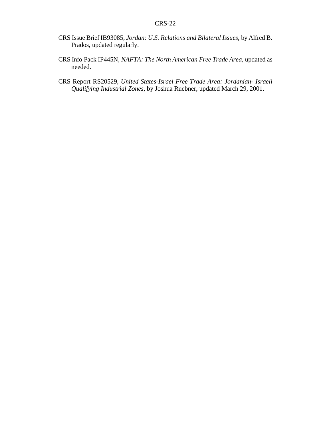- CRS Issue Brief IB93085, *Jordan: U.S. Relations and Bilateral Issues*, by Alfred B. Prados, updated regularly.
- CRS Info Pack IP445N, *NAFTA: The North American Free Trade Area*, updated as needed.
- CRS Report RS20529, *United States-Israel Free Trade Area: Jordanian- Israeli Qualifying Industrial Zones*, by Joshua Ruebner, updated March 29, 2001.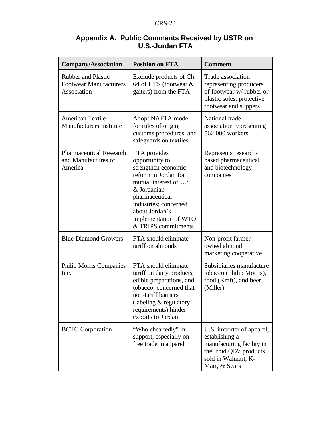| <b>Company/Association</b>                                                | <b>Position on FTA</b>                                                                                                                                                                                                               | <b>Comment</b>                                                                                                                              |
|---------------------------------------------------------------------------|--------------------------------------------------------------------------------------------------------------------------------------------------------------------------------------------------------------------------------------|---------------------------------------------------------------------------------------------------------------------------------------------|
| <b>Rubber and Plastic</b><br><b>Footwear Manufacturers</b><br>Association | Exclude products of Ch.<br>64 of HTS (footwear &<br>gaiters) from the FTA                                                                                                                                                            | Trade association<br>representing producers<br>of footwear w/ rubber or<br>plastic soles, protective<br>footwear and slippers               |
| <b>American Textile</b><br><b>Manufacturers Institute</b>                 | Adopt NAFTA model<br>for rules of origin,<br>customs procedures, and<br>safeguards on textiles                                                                                                                                       | National trade<br>association representing<br>562,000 workers                                                                               |
| <b>Pharmaceutical Research</b><br>and Manufactures of<br>America          | FTA provides<br>opportunity to<br>strengthen economic<br>reform in Jordan for<br>mutual interest of U.S.<br>& Jordanian<br>pharmaceutical<br>industries; concerned<br>about Jordan's<br>implementation of WTO<br>& TRIPS commitments | Represents research-<br>based pharmaceutical<br>and biotechnology<br>companies                                                              |
| <b>Blue Diamond Growers</b>                                               | FTA should eliminate<br>tariff on almonds                                                                                                                                                                                            | Non-profit farmer-<br>owned almond<br>marketing cooperative                                                                                 |
| <b>Philip Morris Companies</b><br>Inc.                                    | FTA should eliminate<br>tariff on dairy products,<br>edible preparations, and<br>tobacco; concerned that<br>non-tariff barriers<br>(labeling & regulatory<br>requirements) hinder<br>exports to Jordan                               | Subsidiaries manufacture<br>tobacco (Philip Morris),<br>food (Kraft), and beer<br>(Miller)                                                  |
| <b>BCTC</b> Corporation                                                   | "Wholeheartedly" in<br>support, especially on<br>free trade in apparel                                                                                                                                                               | U.S. importer of apparel;<br>establishing a<br>manufacturing facility in<br>the Irbid QIZ; products<br>sold in Walmart, K-<br>Mart, & Sears |

## **Appendix A. Public Comments Received by USTR on U.S.-Jordan FTA**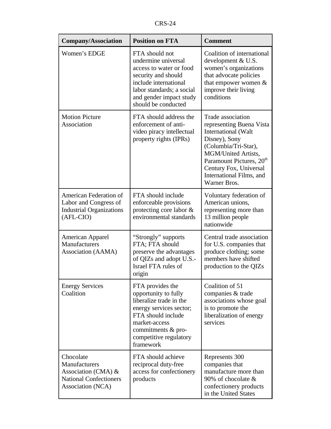| <b>Company/Association</b>                                                                                | <b>Position on FTA</b>                                                                                                                                                                             | <b>Comment</b>                                                                                                                                                                                                                                     |
|-----------------------------------------------------------------------------------------------------------|----------------------------------------------------------------------------------------------------------------------------------------------------------------------------------------------------|----------------------------------------------------------------------------------------------------------------------------------------------------------------------------------------------------------------------------------------------------|
| Women's EDGE                                                                                              | FTA should not<br>undermine universal<br>access to water or food<br>security and should<br>include international<br>labor standards; a social<br>and gender impact study<br>should be conducted    | Coalition of international<br>development $& U.S.$<br>women's organizations<br>that advocate policies<br>that empower women $\&$<br>improve their living<br>conditions                                                                             |
| <b>Motion Picture</b><br>Association                                                                      | FTA should address the<br>enforcement of anti-<br>video piracy intellectual<br>property rights (IPRs)                                                                                              | Trade association<br>representing Buena Vista<br>International (Walt<br>Disney), Sony<br>(Columbia/Tri-Star),<br>MGM/United Artists,<br>Paramount Pictures, 20 <sup>th</sup><br>Century Fox, Universal<br>International Films, and<br>Warner Bros. |
| American Federation of<br>Labor and Congress of<br><b>Industrial Organizations</b><br>(AFL-CIO)           | FTA should include<br>enforceable provisions<br>protecting core labor &<br>environmental standards                                                                                                 | Voluntary federation of<br>American unions,<br>representing more than<br>13 million people<br>nationwide                                                                                                                                           |
| <b>American Apparel</b><br>Manufacturers<br>Association (AAMA)                                            | "Strongly" supports<br>FTA; FTA should<br>preserve the advantages<br>of QIZs and adopt U.S.-<br>Israel FTA rules of<br>origin                                                                      | Central trade association<br>for U.S. companies that<br>produce clothing; some<br>members have shifted<br>production to the QIZs                                                                                                                   |
| <b>Energy Services</b><br>Coalition                                                                       | FTA provides the<br>opportunity to fully<br>liberalize trade in the<br>energy services sector;<br>FTA should include<br>market-access<br>commitments & pro-<br>competitive regulatory<br>framework | Coalition of 51<br>companies & trade<br>associations whose goal<br>is to promote the<br>liberalization of energy<br>services                                                                                                                       |
| Chocolate<br>Manufacturers<br>Association (CMA) $&$<br><b>National Confectioners</b><br>Association (NCA) | FTA should achieve<br>reciprocal duty-free<br>access for confectionery<br>products                                                                                                                 | Represents 300<br>companies that<br>manufacture more than<br>90% of chocolate &<br>confectionery products<br>in the United States                                                                                                                  |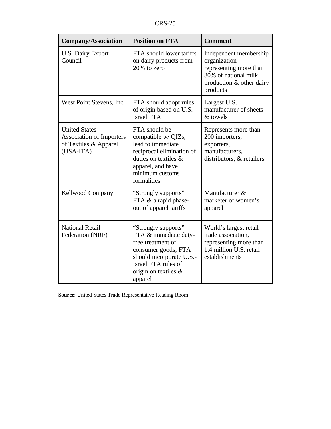| <b>Company/Association</b>                                                                      | <b>Position on FTA</b>                                                                                                                                                         | <b>Comment</b>                                                                                                                   |
|-------------------------------------------------------------------------------------------------|--------------------------------------------------------------------------------------------------------------------------------------------------------------------------------|----------------------------------------------------------------------------------------------------------------------------------|
| U.S. Dairy Export<br>Council                                                                    | FTA should lower tariffs<br>on dairy products from<br>20% to zero                                                                                                              | Independent membership<br>organization<br>representing more than<br>80% of national milk<br>production & other dairy<br>products |
| West Point Stevens, Inc.                                                                        | FTA should adopt rules<br>of origin based on U.S.-<br><b>Israel FTA</b>                                                                                                        | Largest U.S.<br>manufacturer of sheets<br>& towels                                                                               |
| <b>United States</b><br><b>Association of Importers</b><br>of Textiles & Apparel<br>$(USA-ITA)$ | FTA should be<br>compatible w/ QIZs,<br>lead to immediate<br>reciprocal elimination of<br>duties on textiles &<br>apparel, and have<br>minimum customs<br>formalities          | Represents more than<br>200 importers,<br>exporters,<br>manufacturers,<br>distributors, & retailers                              |
| <b>Kellwood Company</b>                                                                         | "Strongly supports"<br>FTA & a rapid phase-<br>out of apparel tariffs                                                                                                          | Manufacturer &<br>marketer of women's<br>apparel                                                                                 |
| <b>National Retail</b><br>Federation (NRF)                                                      | "Strongly supports"<br>FTA & immediate duty-<br>free treatment of<br>consumer goods; FTA<br>should incorporate U.S.-<br>Israel FTA rules of<br>origin on textiles &<br>apparel | World's largest retail<br>trade association,<br>representing more than<br>1.4 million U.S. retail<br>establishments              |

**Source**: United States Trade Representative Reading Room.